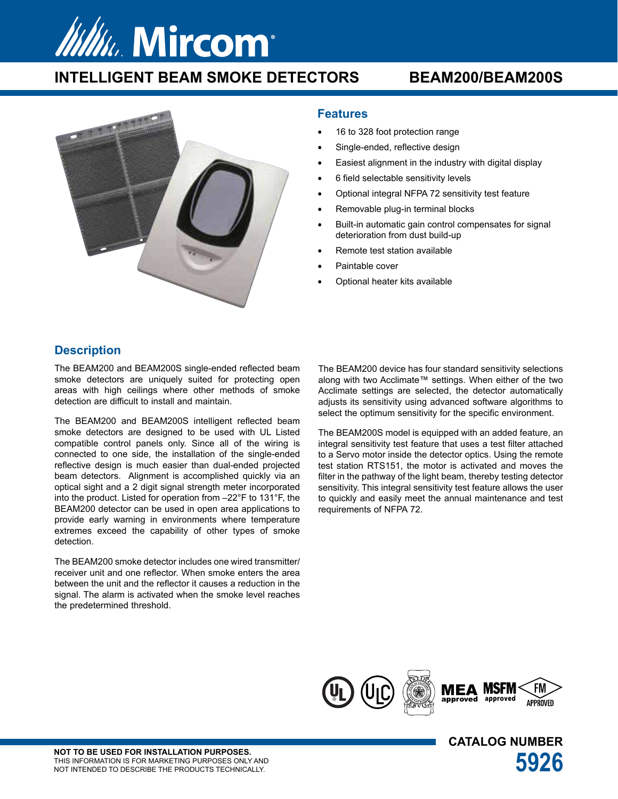# Www. Mircom

## **INTELLIGENT BEAM SMOKE DETECTORS BEAM200/BEAM200S**



#### **Features**

- 16 to 328 foot protection range
- Single-ended, reflective design
- Easiest alignment in the industry with digital display
- 6 field selectable sensitivity levels
- Optional integral NFPA 72 sensitivity test feature
- Removable plug-in terminal blocks
- Built-in automatic gain control compensates for signal deterioration from dust build-up
- Remote test station available
- Paintable cover
- Optional heater kits available

#### **Description**

The BEAM200 and BEAM200S single-ended reflected beam smoke detectors are uniquely suited for protecting open areas with high ceilings where other methods of smoke detection are difficult to install and maintain.

The BEAM200 and BEAM200S intelligent reflected beam smoke detectors are designed to be used with UL Listed compatible control panels only. Since all of the wiring is connected to one side, the installation of the single-ended reflective design is much easier than dual-ended projected beam detectors. Alignment is accomplished quickly via an optical sight and a 2 digit signal strength meter incorporated into the product. Listed for operation from –22°F to 131°F, the BEAM200 detector can be used in open area applications to provide early warning in environments where temperature extremes exceed the capability of other types of smoke detection.

The BEAM200 smoke detector includes one wired transmitter/ receiver unit and one reflector. When smoke enters the area between the unit and the reflector it causes a reduction in the signal. The alarm is activated when the smoke level reaches the predetermined threshold.

The BEAM200 device has four standard sensitivity selections along with two Acclimate™ settings. When either of the two Acclimate settings are selected, the detector automatically adjusts its sensitivity using advanced software algorithms to select the optimum sensitivity for the specific environment.

The BEAM200S model is equipped with an added feature, an integral sensitivity test feature that uses a test filter attached to a Servo motor inside the detector optics. Using the remote test station RTS151, the motor is activated and moves the filter in the pathway of the light beam, thereby testing detector sensitivity. This integral sensitivity test feature allows the user to quickly and easily meet the annual maintenance and test requirements of NFPA 72.

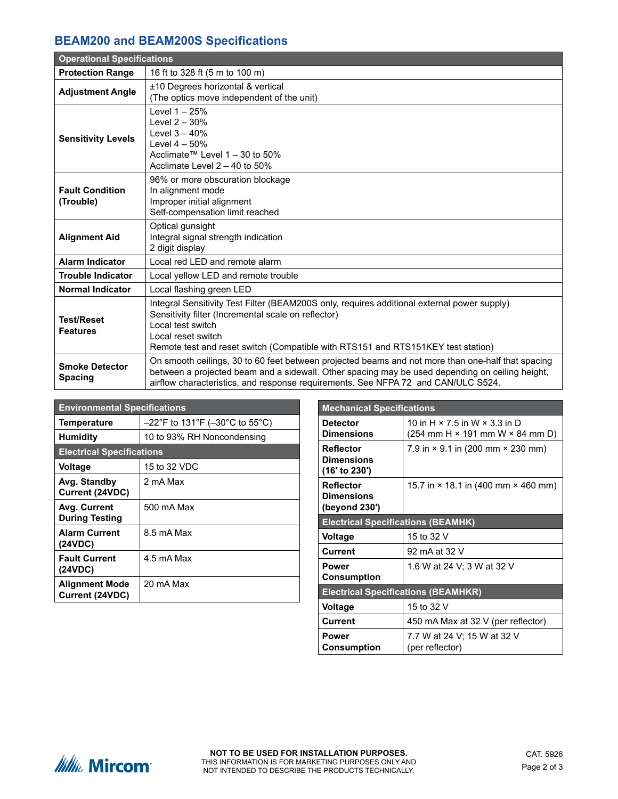### **BEAM200 and BEAM200S Specifications**

| <b>Operational Specifications</b>       |                                                                                                                                                                                                                                                                                           |  |
|-----------------------------------------|-------------------------------------------------------------------------------------------------------------------------------------------------------------------------------------------------------------------------------------------------------------------------------------------|--|
| <b>Protection Range</b>                 | 16 ft to 328 ft (5 m to 100 m)                                                                                                                                                                                                                                                            |  |
| <b>Adjustment Angle</b>                 | ±10 Degrees horizontal & vertical<br>(The optics move independent of the unit)                                                                                                                                                                                                            |  |
| <b>Sensitivity Levels</b>               | Level $1 - 25%$<br>Level $2 - 30%$<br>Level $3 - 40%$<br>Level $4-50%$<br>Acclimate <sup>™</sup> Level 1 – 30 to 50%<br>Acclimate Level $2 - 40$ to 50%                                                                                                                                   |  |
| <b>Fault Condition</b><br>(Trouble)     | 96% or more obscuration blockage<br>In alignment mode<br>Improper initial alignment<br>Self-compensation limit reached                                                                                                                                                                    |  |
| <b>Alignment Aid</b>                    | Optical gunsight<br>Integral signal strength indication<br>2 digit display                                                                                                                                                                                                                |  |
| <b>Alarm Indicator</b>                  | Local red LED and remote alarm                                                                                                                                                                                                                                                            |  |
| <b>Trouble Indicator</b>                | Local yellow LED and remote trouble                                                                                                                                                                                                                                                       |  |
| <b>Normal Indicator</b>                 | Local flashing green LED                                                                                                                                                                                                                                                                  |  |
| <b>Test/Reset</b><br><b>Features</b>    | Integral Sensitivity Test Filter (BEAM200S only, requires additional external power supply)<br>Sensitivity filter (Incremental scale on reflector)<br>Local test switch<br>Local reset switch<br>Remote test and reset switch (Compatible with RTS151 and RTS151KEY test station)         |  |
| <b>Smoke Detector</b><br><b>Spacing</b> | On smooth ceilings, 30 to 60 feet between projected beams and not more than one-half that spacing<br>between a projected beam and a sidewall. Other spacing may be used depending on ceiling height,<br>airflow characteristics, and response requirements. See NFPA 72 and CAN/ULC S524. |  |

| <b>Environmental Specifications</b>      |                                                                           |  |
|------------------------------------------|---------------------------------------------------------------------------|--|
| Temperature                              | $-22^{\circ}$ F to 131 $^{\circ}$ F ( $-30^{\circ}$ C to 55 $^{\circ}$ C) |  |
| <b>Humidity</b>                          | 10 to 93% RH Noncondensing                                                |  |
| <b>Electrical Specifications</b>         |                                                                           |  |
| Voltage                                  | 15 to 32 VDC                                                              |  |
| Avg. Standby<br>Current (24VDC)          | 2 mA Max                                                                  |  |
| Avg. Current<br><b>During Testing</b>    | 500 mA Max                                                                |  |
| <b>Alarm Current</b><br>(24VDC)          | 8.5 mA Max                                                                |  |
| <b>Fault Current</b><br>(24VDC)          | 4.5 mA Max                                                                |  |
| <b>Alignment Mode</b><br>Current (24VDC) | 20 mA Max                                                                 |  |

| <b>Mechanical Specifications</b>                       |                                                                                                                          |  |
|--------------------------------------------------------|--------------------------------------------------------------------------------------------------------------------------|--|
| <b>Detector</b><br><b>Dimensions</b>                   | 10 in H $\times$ 7.5 in W $\times$ 3.3 in D<br>$(254 \, \text{mm H} \times 191 \, \text{mm W} \times 84 \, \text{mm D})$ |  |
| <b>Reflector</b><br><b>Dimensions</b><br>(16' to 230') | 7.9 in $\times$ 9.1 in (200 mm $\times$ 230 mm)                                                                          |  |
| <b>Reflector</b><br><b>Dimensions</b><br>(beyond 230') | 15.7 in $\times$ 18.1 in (400 mm $\times$ 460 mm)                                                                        |  |
| <b>Electrical Specifications (BEAMHK)</b>              |                                                                                                                          |  |
| <b>Voltage</b>                                         | 15 to 32 V                                                                                                               |  |
| <b>Current</b>                                         | 92 mA at 32 V                                                                                                            |  |
| Power<br>Consumption                                   | 1.6 W at 24 V; 3 W at 32 V                                                                                               |  |
| <b>Electrical Specifications (BEAMHKR)</b>             |                                                                                                                          |  |
| <b>Voltage</b>                                         | 15 to 32 V                                                                                                               |  |
| Current                                                | 450 mA Max at 32 V (per reflector)                                                                                       |  |
| Power<br>Consumption                                   | 7.7 W at 24 V; 15 W at 32 V<br>(per reflector)                                                                           |  |